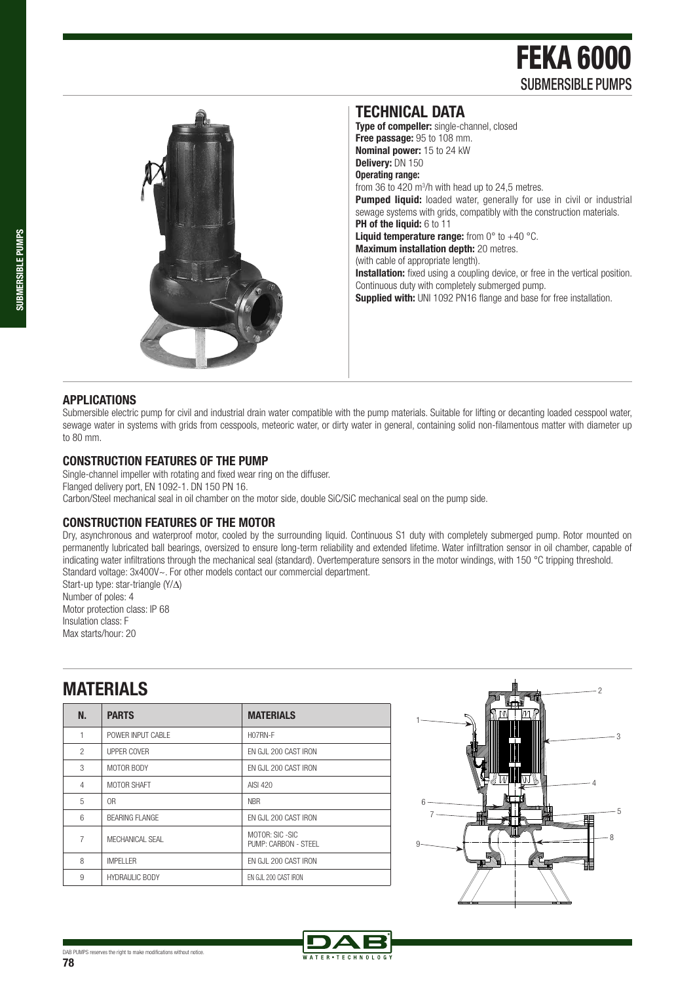# FEKA 6000 SUBMERSIBLE PUMPS



**Type of compeller:** single-channel, closed **Free passage:** 95 to 108 mm. **Nominal power:** 15 to 24 kW **Delivery:** DN 150 **Operating range:**  from 36 to 420  $m^3/h$  with head up to 24,5 metres. **Pumped liquid:** loaded water, generally for use in civil or industrial sewage systems with grids, compatibly with the construction materials. **PH of the liquid:** 6 to 11 **Liquid temperature range:** from 0° to +40 °C. **Maximum installation depth:** 20 metres. (with cable of appropriate length). **Installation:** fixed using a coupling device, or free in the vertical position. Continuous duty with completely submerged pump.

**TECHNICAL DATA** 

**Supplied with: UNI 1092 PN16 flange and base for free installation.** 

#### **APPLICATIONS**

Submersible electric pump for civil and industrial drain water compatible with the pump materials. Suitable for lifting or decanting loaded cesspool water, sewage water in systems with grids from cesspools, meteoric water, or dirty water in general, containing solid non-filamentous matter with diameter up to 80 mm.

#### **CONSTRUCTION FEATURES OF THE PUMP**

Single-channel impeller with rotating and fixed wear ring on the diffuser. Flanged delivery port, EN 1092-1. DN 150 PN 16. Carbon/Steel mechanical seal in oil chamber on the motor side, double SiC/SiC mechanical seal on the pump side.

### **CONSTRUCTION FEATURES OF THE MOTOR**

Dry, asynchronous and waterproof motor, cooled by the surrounding liquid. Continuous S1 duty with completely submerged pump. Rotor mounted on permanently lubricated ball bearings, oversized to ensure long-term reliability and extended lifetime. Water infiltration sensor in oil chamber, capable of indicating water infiltrations through the mechanical seal (standard). Overtemperature sensors in the motor windings, with 150 °C tripping threshold. Standard voltage: 3x400V~. For other models contact our commercial department. Start-up type: star-triangle (Y/∆)

Number of poles: 4 Motor protection class: IP 68 Insulation class: F Max starts/hour: 20

## **MATERIALS**

| N.             | <b>PARTS</b>          | <b>MATERIALS</b>                         |
|----------------|-----------------------|------------------------------------------|
| 1              | POWER INPUT CABLE     | H07RN-F                                  |
| $\mathfrak{p}$ | UPPER COVER           | EN GJL 200 CAST IRON                     |
| 3              | MOTOR BODY            | EN GJL 200 CAST IRON                     |
| 4              | MOTOR SHAFT           | AISI 420                                 |
| 5              | 0 <sub>R</sub>        | <b>NBR</b>                               |
| 6              | <b>BEARING FLANGE</b> | FN GJL 200 CAST IRON                     |
| 7              | MFCHANICAL SFAL       | MOTOR: SIC - SIC<br>PUMP: CARBON - STEEL |
| 8              | <b>IMPFI I FR</b>     | EN GJL 200 CAST IRON                     |
| 9              | <b>HYDRAULIC BODY</b> | EN GJL 200 CAST IRON                     |
|                |                       |                                          |



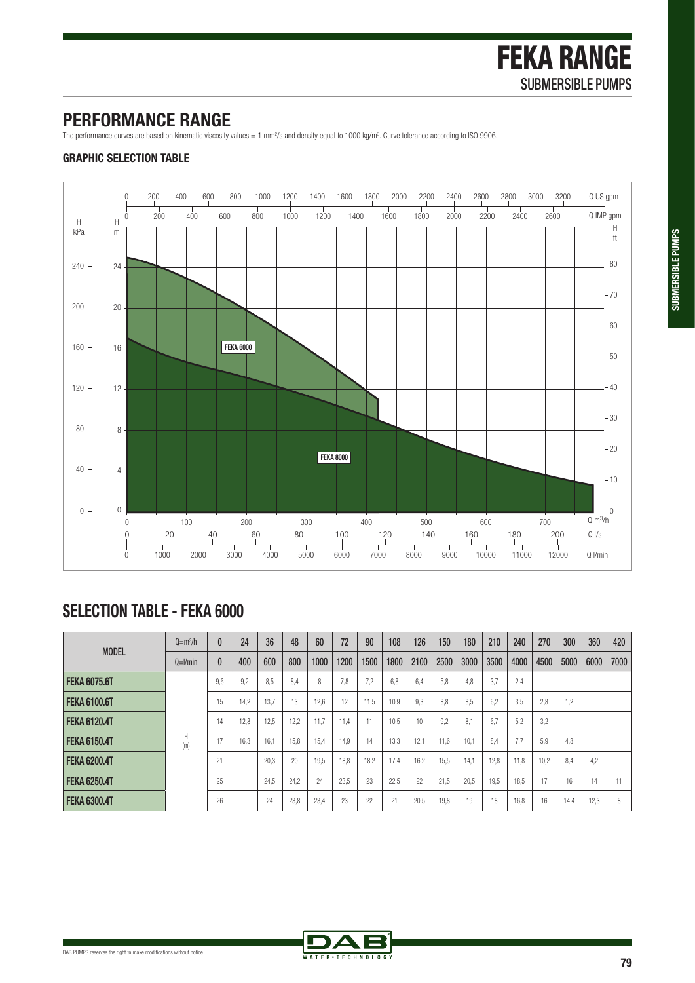### **PERFORMANCE RANGE**

The performance curves are based on kinematic viscosity values = 1 mm<sup>2</sup>/s and density equal to 1000 kg/m<sup>3</sup>. Curve tolerance according to ISO 9906.

### **GRAPHIC SELECTION TABLE**



# **SELECTION TABLE - FEKA 6000**

|                     | $Q = m3/h$ | $\theta$ | 24   | 36   | 48   | 60   | 72   | 90   | 108  | 126  | 150  | 180  | 210  | 240  | 270  | 300  | 360  | 420  |
|---------------------|------------|----------|------|------|------|------|------|------|------|------|------|------|------|------|------|------|------|------|
| <b>MODEL</b>        | $Q=1/min$  | $\bf{0}$ | 400  | 600  | 800  | 1000 | 1200 | 1500 | 1800 | 2100 | 2500 | 3000 | 3500 | 4000 | 4500 | 5000 | 6000 | 7000 |
| <b>FEKA 6075.6T</b> | Н<br>(m)   | 9.6      | 9.2  | 8.5  | 8.4  | 8    | 7.8  | 7.2  | 6.8  | 6.4  | 5.8  | 4.8  | 3.7  | 2.4  |      |      |      |      |
| <b>FEKA 6100.6T</b> |            | 15       | 14.2 | 13.7 | 13   | 12.6 | 12   | 11.5 | 10.9 | 9.3  | 8.8  | 8.5  | 6.2  | 3.5  | 2,8  | 1,2  |      |      |
| <b>FEKA 6120.4T</b> |            | 14       | 12.8 | 12.5 | 12,2 | 11.7 | 11.4 | 11   | 10.5 | 10   | 9.2  | 8.1  | 6.7  | 5.2  | 3.2  |      |      |      |
| <b>FEKA 6150.4T</b> |            | 17       | 16.3 | 16.1 | 15.8 | 15.4 | 14.9 | 14   | 13.3 | 12.1 | 11.6 | 10.1 | 8.4  | 7.7  | 5.9  | 4.8  |      |      |
| <b>FEKA 6200.4T</b> |            | 21       |      | 20.3 | 20   | 19.5 | 18.8 | 18.2 | 17.4 | 16.2 | 15.5 | 14.1 | 12.8 | 11.8 | 10.2 | 8.4  | 4,2  |      |
| <b>FEKA 6250.4T</b> |            | 25       |      | 24.5 | 24.2 | 24   | 23.5 | 23   | 22.5 | 22   | 21.5 | 20.5 | 19.5 | 18.5 | 17   | 16   | 14   | 11   |
| <b>FEKA 6300.4T</b> |            | 26       |      | 24   | 23,8 | 23,4 | 23   | 22   | 21   | 20.5 | 19.8 | 19   | 18   | 16,8 | 16   | 14,4 | 12,3 | 8    |

WATER . TECHNOLO